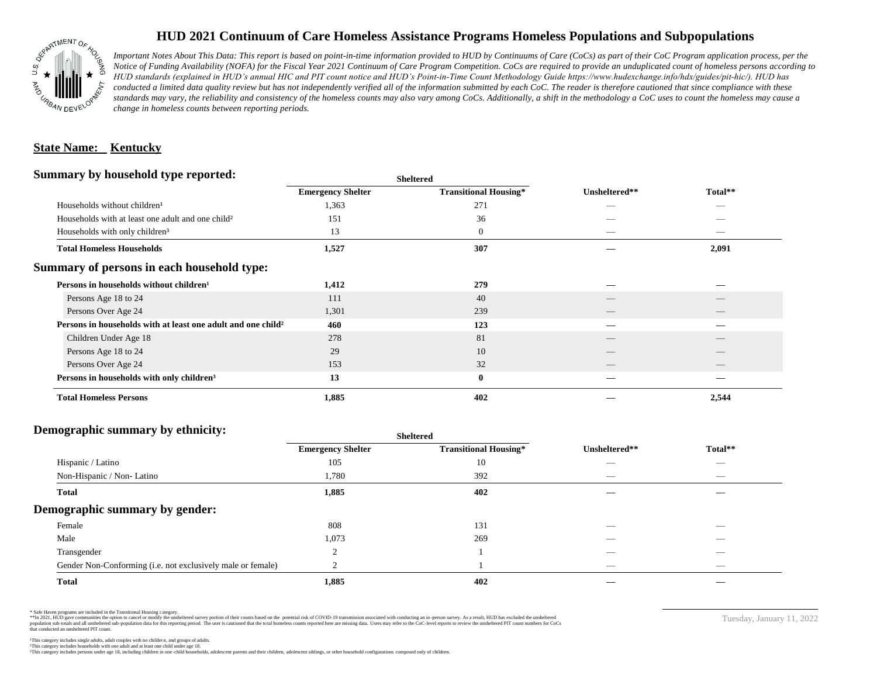

## **HUD 2021 Continuum of Care Homeless Assistance Programs Homeless Populations and Subpopulations**

*Important Notes About This Data: This report is based on point-in-time information provided to HUD by Continuums of Care (CoCs) as part of their CoC Program application process, per the Notice of Funding Availability (NOFA) for the Fiscal Year 2021 Continuum of Care Program Competition. CoCs are required to provide an unduplicated count of homeless persons according to HUD standards (explained in HUD's annual HIC and PIT count notice and HUD's Point-in-Time Count Methodology Guide https://www.hudexchange.info/hdx/guides/pit-hic/). HUD has*  conducted a limited data quality review but has not independently verified all of the information submitted by each CoC. The reader is therefore cautioned that since compliance with these standards may vary, the reliability and consistency of the homeless counts may also vary among CoCs. Additionally, a shift in the methodology a CoC uses to count the homeless may cause a *change in homeless counts between reporting periods.*

#### **State Name: Kentucky**

#### **Summary by household type reported:**

|                                                                     | <b>Sheltered</b>             | Unsheltered**            | Total**                        |  |
|---------------------------------------------------------------------|------------------------------|--------------------------|--------------------------------|--|
| <b>Emergency Shelter</b>                                            | <b>Transitional Housing*</b> |                          |                                |  |
| 1,363                                                               | 271                          |                          |                                |  |
| 151                                                                 | 36                           |                          |                                |  |
| 13                                                                  | $\boldsymbol{0}$             | $\hspace{0.05cm}$        | $\overbrace{\hspace{25mm}}^{}$ |  |
| 1,527                                                               | 307                          |                          | 2,091                          |  |
|                                                                     |                              |                          |                                |  |
| 1,412                                                               | 279                          |                          |                                |  |
| 111                                                                 | 40                           |                          |                                |  |
| 1,301                                                               | 239                          | $\overline{\phantom{a}}$ | $\qquad \qquad$                |  |
| Persons in households with at least one adult and one child?<br>460 | 123                          |                          |                                |  |
| 278                                                                 | 81                           |                          |                                |  |
| 29                                                                  | 10                           |                          |                                |  |
| 153                                                                 | 32                           | __                       |                                |  |
| 13                                                                  | $\bf{0}$                     |                          |                                |  |
| 1,885                                                               | 402                          |                          | 2,544                          |  |
|                                                                     |                              |                          |                                |  |

### **Demographic summary by ethnicity:**

|                                                             | <b>Sheltered</b>         |                              |                          |                          |  |
|-------------------------------------------------------------|--------------------------|------------------------------|--------------------------|--------------------------|--|
|                                                             | <b>Emergency Shelter</b> | <b>Transitional Housing*</b> | Unsheltered**            | Total**                  |  |
| Hispanic / Latino                                           | 105                      | 10                           | ___                      | $\overline{\phantom{a}}$ |  |
| Non-Hispanic / Non-Latino                                   | 1,780                    | 392                          | _                        |                          |  |
| <b>Total</b>                                                | 1,885                    | 402                          |                          |                          |  |
| Demographic summary by gender:                              |                          |                              |                          |                          |  |
| Female                                                      | 808                      | 131                          | _                        | _                        |  |
| Male                                                        | 1,073                    | 269                          |                          |                          |  |
| Transgender                                                 |                          |                              |                          |                          |  |
| Gender Non-Conforming (i.e. not exclusively male or female) |                          |                              | $\overline{\phantom{a}}$ | $\overline{\phantom{a}}$ |  |
| <b>Total</b>                                                | 1,885                    | 402                          |                          |                          |  |

\* Safe Haven programs are included in the Transitional Housing category.

\*\*In 2021, HUD gave communities the option to cancel or modify the unsheltered survey portion of their counts based on the potential risk of COVID-19 transmission associated with conducting an in-person survey. As a result n political and distribution of the resort in the constant of the experimental and the constant of the constant of the constant of the constant of the constant of the constant of the constant of the constant of the constan that conducted an unsheltered PIT count.

Tuesday, January 11, 2022